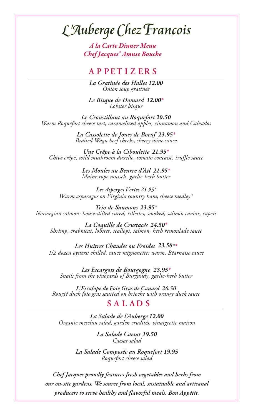# L'Auberge Chez François

*A la Carte Dinner Menu Chef Jacques' Amuse Bouche*

# **A P PET I Z E R S**

*La Gratinée des Halles 12.00 Onion soup gratinée*

*Le Bisque de Homard 12.00\* Lobster bisque*

*Le Croustillant au Roquefort 20.50 Warm Roquefort cheese tart, caramelized apples, cinnamon and Calvados*

> *La Cassolette de Joues de Boeuf 23.95\* Braised Wagu beef cheeks, sherry wine sauce*

*Une Crêpe à la Ciboulette 21.95\* Chive crêpe, wild mushroom duxelle, tomato concassé, truffle sauce*

> *Les Moules au Beurre d'Ail 21.95\* Maine rope mussels, garlic-herb butter*

*Les Asperges Vertes 21.95\* Warm asparagus on Virginia country ham, cheese medley\**

*Trio de Saumons 23.95\* Norwegian salmon: house-dilled cured, rillettes, smoked, salmon caviar, capers*

*La Coquille de Crustacés 24.50\* Shrimp, crabmeat, lobster, scallops, salmon, herb remoulade sauce*

*Les Huitres Chaudes ou Froides 23.50\*\* 1/2 dozen oysters: chilled, sauce mignonette; warm, Béarnaise sauce*

*Les Escargots de Bourgogne 23.95\* Snails from the vineyards of Burgundy, garlic-herb butter*

*L'Escalope de Foie Gras de Canard 26.50 Rougié duck foie gras sautéed on brioche with orange duck sauce*

### **S A L A D S**

*La Salade de l'Auberge 12.00 Organic mesclun salad, garden crudités, vinaigrette maison*

> *La Salade Caesar 19.50 Caesar salad*

*La Salade Composée au Roquefort 19.95 Roquefort cheese salad*

*Chef Jacques proudly features fresh vegetables and herbs from our on-site gardens. We source from local, sustainable and artisanal producers to serve healthy and flavorful meals. Bon Appétit.*